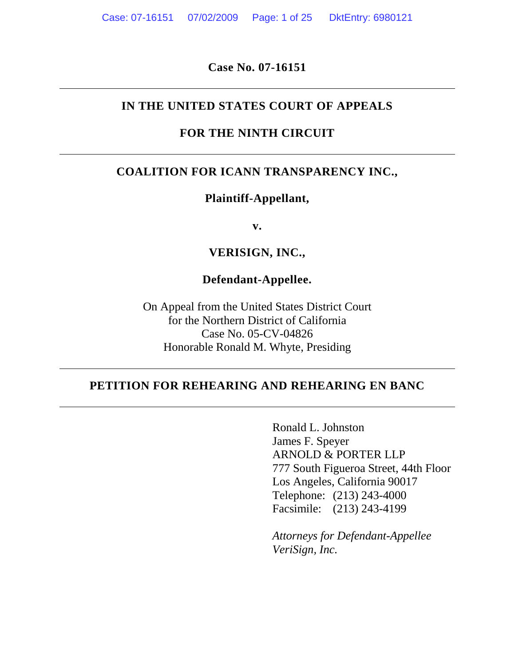**Case No. 07-16151**

## **IN THE UNITED STATES COURT OF APPEALS**

# **FOR THE NINTH CIRCUIT**

# **COALITION FOR ICANN TRANSPARENCY INC.,**

### **Plaintiff-Appellant,**

**v.**

## **VERISIGN, INC.,**

## **Defendant-Appellee.**

On Appeal from the United States District Court for the Northern District of California Case No. 05-CV-04826 Honorable Ronald M. Whyte, Presiding

# **PETITION FOR REHEARING AND REHEARING EN BANC**

Ronald L. Johnston James F. Speyer ARNOLD & PORTER LLP 777 South Figueroa Street, 44th Floor Los Angeles, California 90017 Telephone: (213) 243-4000 Facsimile: (213) 243-4199

*Attorneys for Defendant-Appellee VeriSign, Inc.*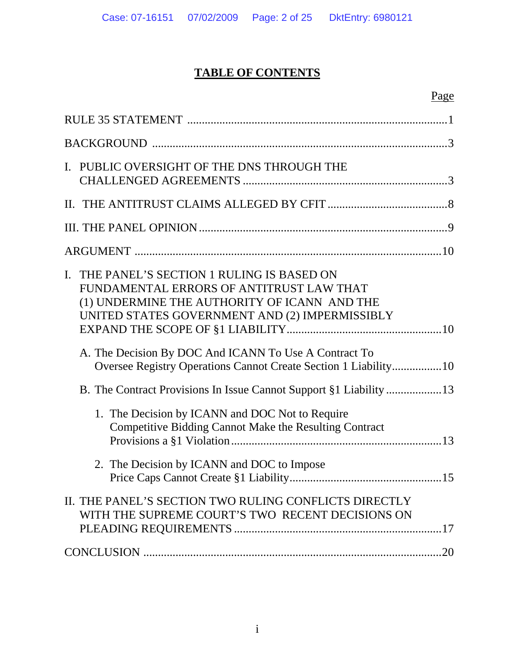# **TABLE OF CONTENTS**

# Page

| I. PUBLIC OVERSIGHT OF THE DNS THROUGH THE                                                                                                                                                   |
|----------------------------------------------------------------------------------------------------------------------------------------------------------------------------------------------|
|                                                                                                                                                                                              |
|                                                                                                                                                                                              |
|                                                                                                                                                                                              |
| THE PANEL'S SECTION 1 RULING IS BASED ON<br>L.<br>FUNDAMENTAL ERRORS OF ANTITRUST LAW THAT<br>(1) UNDERMINE THE AUTHORITY OF ICANN AND THE<br>UNITED STATES GOVERNMENT AND (2) IMPERMISSIBLY |
| A. The Decision By DOC And ICANN To Use A Contract To<br>Oversee Registry Operations Cannot Create Section 1 Liability10                                                                     |
|                                                                                                                                                                                              |
| 1. The Decision by ICANN and DOC Not to Require<br>Competitive Bidding Cannot Make the Resulting Contract                                                                                    |
| 2. The Decision by ICANN and DOC to Impose                                                                                                                                                   |
| II. THE PANEL'S SECTION TWO RULING CONFLICTS DIRECTLY<br>WITH THE SUPREME COURT'S TWO RECENT DECISIONS ON                                                                                    |
| .20                                                                                                                                                                                          |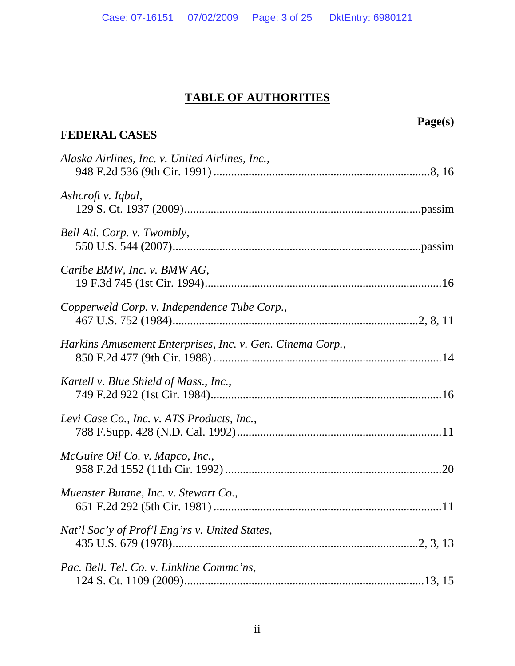# **TABLE OF AUTHORITIES**

| <b>FEDERAL CASES</b>                                      | Page(s) |
|-----------------------------------------------------------|---------|
| Alaska Airlines, Inc. v. United Airlines, Inc.,           |         |
| Ashcroft v. Iqbal,                                        |         |
| Bell Atl. Corp. v. Twombly,                               |         |
| Caribe BMW, Inc. v. BMW AG,                               |         |
| Copperweld Corp. v. Independence Tube Corp.,              |         |
| Harkins Amusement Enterprises, Inc. v. Gen. Cinema Corp., |         |
| Kartell v. Blue Shield of Mass., Inc.,                    |         |
| Levi Case Co., Inc. v. ATS Products, Inc.,                |         |
| McGuire Oil Co. v. Mapco, Inc.,                           |         |
| Muenster Butane, Inc. v. Stewart Co.,                     |         |
| Nat'l Soc'y of Prof'l Eng'rs v. United States,            |         |
| Pac. Bell. Tel. Co. v. Linkline Commc'ns,                 |         |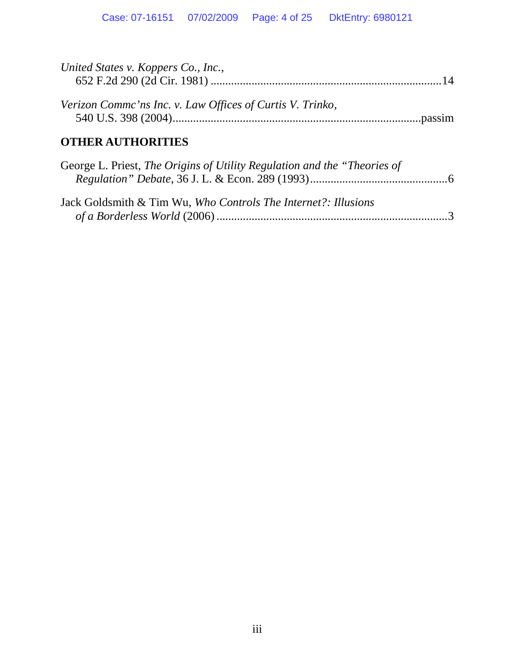| United States v. Koppers Co., Inc.,                                      |  |
|--------------------------------------------------------------------------|--|
| Verizon Comme'ns Inc. v. Law Offices of Curtis V. Trinko,                |  |
| <b>OTHER AUTHORITIES</b>                                                 |  |
| George L. Priest, The Origins of Utility Regulation and the "Theories of |  |
| Jack Goldsmith & Tim Wu, Who Controls The Internet?: Illusions           |  |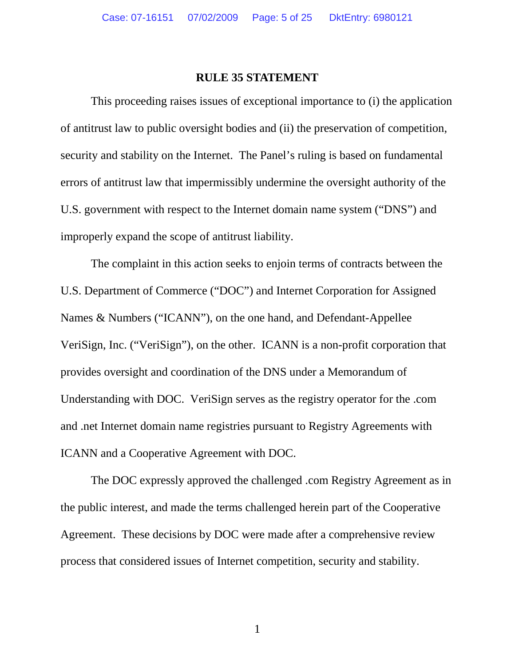## <span id="page-4-0"></span>**RULE 35 STATEMENT**

This proceeding raises issues of exceptional importance to (i) the application of antitrust law to public oversight bodies and (ii) the preservation of competition, security and stability on the Internet. The Panel's ruling is based on fundamental errors of antitrust law that impermissibly undermine the oversight authority of the U.S. government with respect to the Internet domain name system ("DNS") and improperly expand the scope of antitrust liability.

The complaint in this action seeks to enjoin terms of contracts between the U.S. Department of Commerce ("DOC") and Internet Corporation for Assigned Names & Numbers ("ICANN"), on the one hand, and Defendant-Appellee VeriSign, Inc. ("VeriSign"), on the other. ICANN is a non-profit corporation that provides oversight and coordination of the DNS under a Memorandum of Understanding with DOC. VeriSign serves as the registry operator for the .com and .net Internet domain name registries pursuant to Registry Agreements with ICANN and a Cooperative Agreement with DOC.

The DOC expressly approved the challenged .com Registry Agreement as in the public interest, and made the terms challenged herein part of the Cooperative Agreement. These decisions by DOC were made after a comprehensive review process that considered issues of Internet competition, security and stability.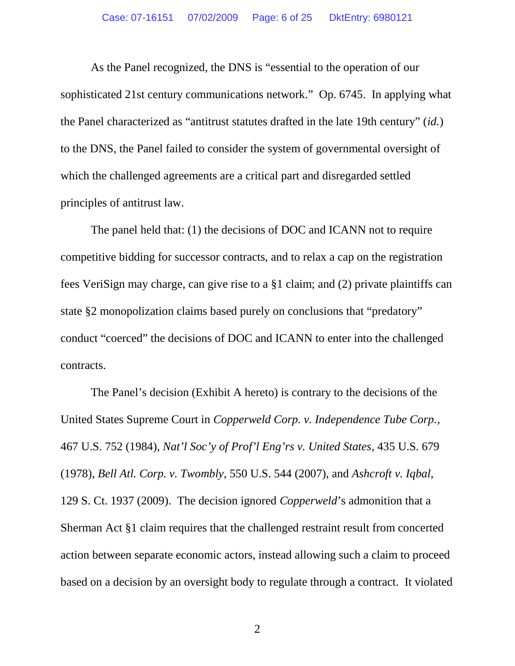As the Panel recognized, the DNS is "essential to the operation of our sophisticated 21st century communications network." Op. 6745. In applying what the Panel characterized as "antitrust statutes drafted in the late 19th century" (*id.*) to the DNS, the Panel failed to consider the system of governmental oversight of which the challenged agreements are a critical part and disregarded settled principles of antitrust law.

The panel held that: (1) the decisions of DOC and ICANN not to require competitive bidding for successor contracts, and to relax a cap on the registration fees VeriSign may charge, can give rise to a §1 claim; and (2) private plaintiffs can state §2 monopolization claims based purely on conclusions that "predatory" conduct "coerced" the decisions of DOC and ICANN to enter into the challenged contracts.

<span id="page-5-3"></span><span id="page-5-2"></span><span id="page-5-1"></span><span id="page-5-0"></span>The Panel's decision (Exhibit A hereto) is contrary to the decisions of the United States Supreme Court in *Copperweld Corp. v. Independence Tube Corp.*, 467 U.S. 752 (1984), *Nat'l Soc'y of Prof'l Eng'rs v. United States*, 435 U.S. 679 (1978), *Bell Atl. Corp. v. Twombly*, 550 U.S. 544 (2007), and *Ashcroft v. Iqbal*, 129 S. Ct. 1937 (2009). The decision ignored *Copperweld*'s admonition that a Sherman Act §1 claim requires that the challenged restraint result from concerted action between separate economic actors, instead allowing such a claim to proceed based on a decision by an oversight body to regulate through a contract. It violated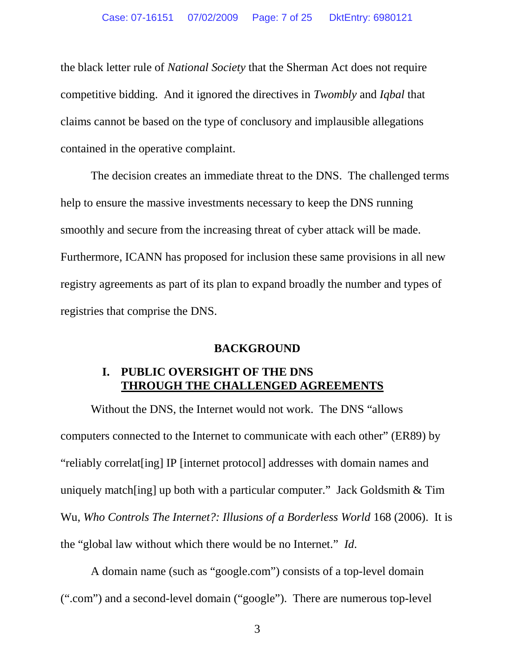the black letter rule of *National Society* that the Sherman Act does not require competitive bidding. And it ignored the directives in *Twombly* and *Iqbal* that claims cannot be based on the type of conclusory and implausible allegations contained in the operative complaint.

The decision creates an immediate threat to the DNS. The challenged terms help to ensure the massive investments necessary to keep the DNS running smoothly and secure from the increasing threat of cyber attack will be made. Furthermore, ICANN has proposed for inclusion these same provisions in all new registry agreements as part of its plan to expand broadly the number and types of registries that comprise the DNS.

#### <span id="page-6-2"></span><span id="page-6-0"></span>**BACKGROUND**

#### <span id="page-6-1"></span>**I. PUBLIC OVERSIGHT OF THE DNS THROUGH THE CHALLENGED AGREEMENTS**

Without the DNS, the Internet would not work. The DNS "allows computers connected to the Internet to communicate with each other" (ER89) by "reliably correlat[ing] IP [internet protocol] addresses with domain names and uniquely match[ing] up both with a particular computer." Jack Goldsmith & Tim Wu, *Who Controls The Internet?: Illusions of a Borderless World* 168 (2006). It is the "global law without which there would be no Internet." *Id*.

A domain name (such as "google.com") consists of a top-level domain (".com") and a second-level domain ("google"). There are numerous top-level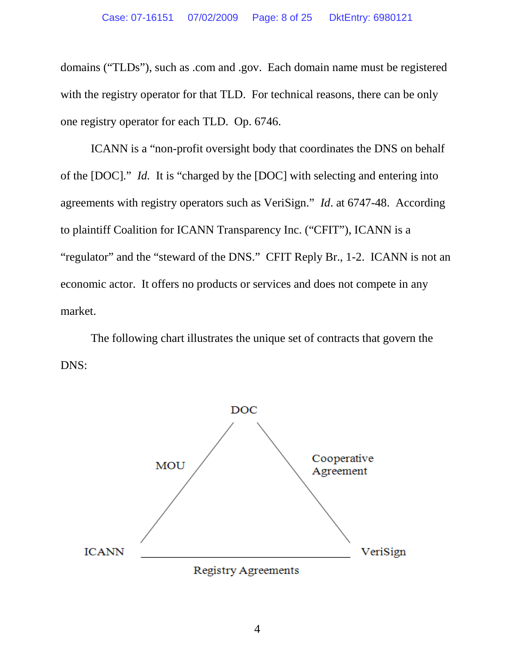domains ("TLDs"), such as .com and .gov. Each domain name must be registered with the registry operator for that TLD. For technical reasons, there can be only one registry operator for each TLD. Op. 6746.

ICANN is a "non-profit oversight body that coordinates the DNS on behalf of the [DOC]." *Id.* It is "charged by the [DOC] with selecting and entering into agreements with registry operators such as VeriSign." *Id*. at 6747-48. According to plaintiff Coalition for ICANN Transparency Inc. ("CFIT"), ICANN is a "regulator" and the "steward of the DNS." CFIT Reply Br., 1-2. ICANN is not an economic actor. It offers no products or services and does not compete in any market.

The following chart illustrates the unique set of contracts that govern the DNS:



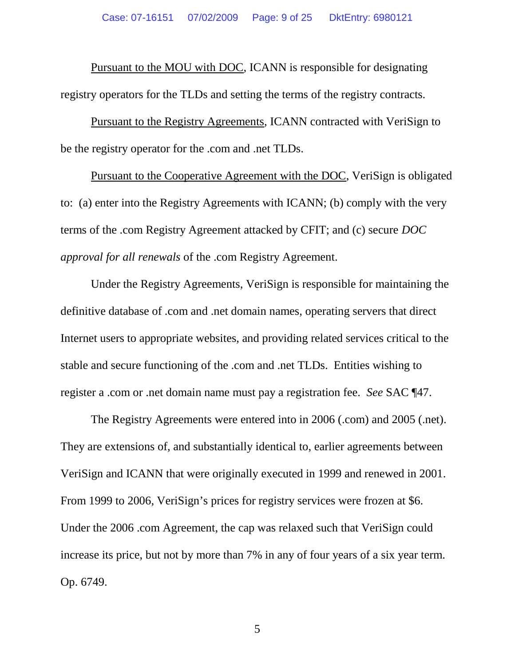Pursuant to the MOU with DOC, ICANN is responsible for designating registry operators for the TLDs and setting the terms of the registry contracts.

Pursuant to the Registry Agreements, ICANN contracted with VeriSign to be the registry operator for the .com and .net TLDs.

Pursuant to the Cooperative Agreement with the DOC, VeriSign is obligated to: (a) enter into the Registry Agreements with ICANN; (b) comply with the very terms of the .com Registry Agreement attacked by CFIT; and (c) secure *DOC approval for all renewals* of the .com Registry Agreement.

Under the Registry Agreements, VeriSign is responsible for maintaining the definitive database of .com and .net domain names, operating servers that direct Internet users to appropriate websites, and providing related services critical to the stable and secure functioning of the .com and .net TLDs. Entities wishing to register a .com or .net domain name must pay a registration fee. *See* SAC ¶47.

The Registry Agreements were entered into in 2006 (.com) and 2005 (.net). They are extensions of, and substantially identical to, earlier agreements between VeriSign and ICANN that were originally executed in 1999 and renewed in 2001. From 1999 to 2006, VeriSign's prices for registry services were frozen at \$6. Under the 2006 .com Agreement, the cap was relaxed such that VeriSign could increase its price, but not by more than 7% in any of four years of a six year term. Op. 6749.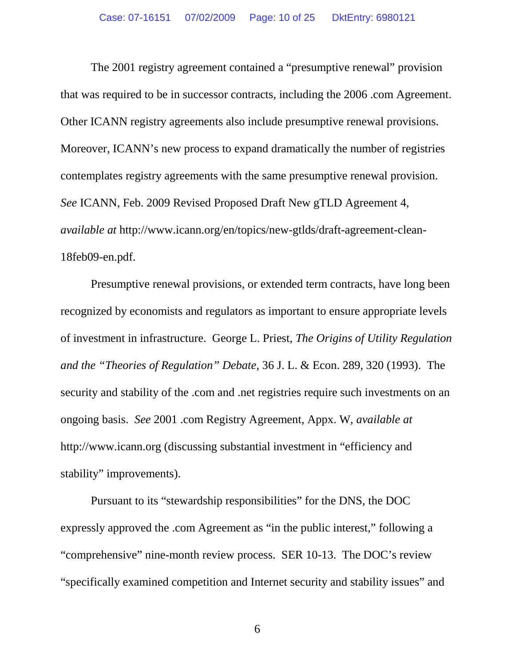The 2001 registry agreement contained a "presumptive renewal" provision that was required to be in successor contracts, including the 2006 .com Agreement. Other ICANN registry agreements also include presumptive renewal provisions. Moreover, ICANN's new process to expand dramatically the number of registries contemplates registry agreements with the same presumptive renewal provision. *See* ICANN, Feb. 2009 Revised Proposed Draft New gTLD Agreement 4, *available at* http://www.icann.org/en/topics/new-gtlds/draft-agreement-clean-18feb09-en.pdf.

<span id="page-9-0"></span>Presumptive renewal provisions, or extended term contracts, have long been recognized by economists and regulators as important to ensure appropriate levels of investment in infrastructure. George L. Priest, *The Origins of Utility Regulation and the "Theories of Regulation" Debate*, 36 J. L. & Econ. 289, 320 (1993). The security and stability of the .com and .net registries require such investments on an ongoing basis. *See* 2001 .com Registry Agreement, Appx. W, *available at* http://www.icann.org (discussing substantial investment in "efficiency and stability" improvements).

Pursuant to its "stewardship responsibilities" for the DNS, the DOC expressly approved the .com Agreement as "in the public interest," following a "comprehensive" nine-month review process. SER 10-13. The DOC's review "specifically examined competition and Internet security and stability issues" and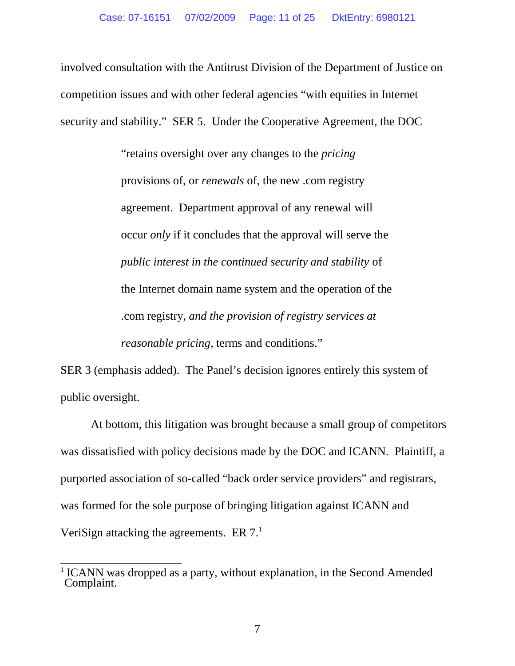involved consultation with the Antitrust Division of the Department of Justice on competition issues and with other federal agencies "with equities in Internet security and stability." SER 5. Under the Cooperative Agreement, the DOC

> "retains oversight over any changes to the *pricing* provisions of, or *renewals* of, the new .com registry agreement. Department approval of any renewal will occur *only* if it concludes that the approval will serve the *public interest in the continued security and stability* of the Internet domain name system and the operation of the .com registry, *and the provision of registry services at reasonable pricing*, terms and conditions."

SER 3 (emphasis added). The Panel's decision ignores entirely this system of public oversight.

At bottom, this litigation was brought because a small group of competitors was dissatisfied with policy decisions made by the DOC and ICANN. Plaintiff, a purported association of so-called "back order service providers" and registrars, was formed for the sole purpose of bringing litigation against ICANN and VeriSignattacking the agreements. ER  $7<sup>1</sup>$ 

<span id="page-10-0"></span><sup>&</sup>lt;sup>1</sup> ICANN was dropped as a party, without explanation, in the Second Amended Complaint.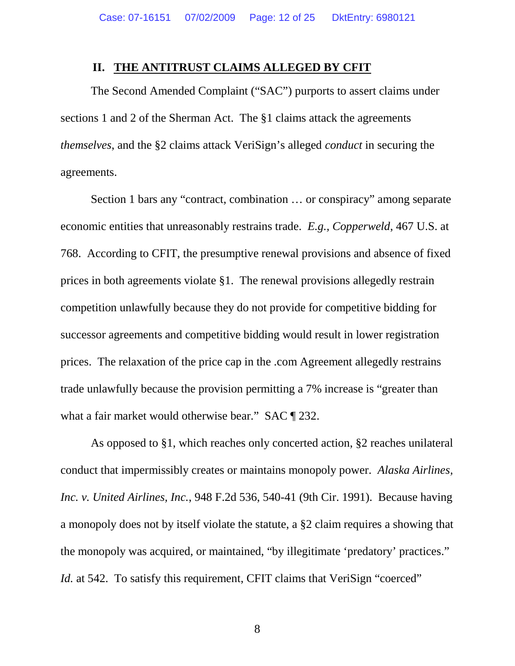#### <span id="page-11-0"></span>**II. THE ANTITRUST CLAIMS ALLEGED BY CFIT**

The Second Amended Complaint ("SAC") purports to assert claims under sections 1 and 2 of the Sherman Act. The §1 claims attack the agreements *themselves*, and the §2 claims attack VeriSign's alleged *conduct* in securing the agreements.

<span id="page-11-2"></span>Section 1 bars any "contract, combination … or conspiracy" among separate economic entities that unreasonably restrains trade. *E.g., Copperweld*, 467 U.S. at 768. According to CFIT, the presumptive renewal provisions and absence of fixed prices in both agreements violate §1. The renewal provisions allegedly restrain competition unlawfully because they do not provide for competitive bidding for successor agreements and competitive bidding would result in lower registration prices. The relaxation of the price cap in the .com Agreement allegedly restrains trade unlawfully because the provision permitting a 7% increase is "greater than what a fair market would otherwise bear." SAC ¶ 232.

<span id="page-11-1"></span>As opposed to §1, which reaches only concerted action, §2 reaches unilateral conduct that impermissibly creates or maintains monopoly power. *Alaska Airlines, Inc. v. United Airlines, Inc.*, 948 F.2d 536, 540-41 (9th Cir. 1991). Because having a monopoly does not by itself violate the statute, a §2 claim requires a showing that the monopoly was acquired, or maintained, "by illegitimate 'predatory' practices." *Id.* at 542. To satisfy this requirement, CFIT claims that VeriSign "coerced"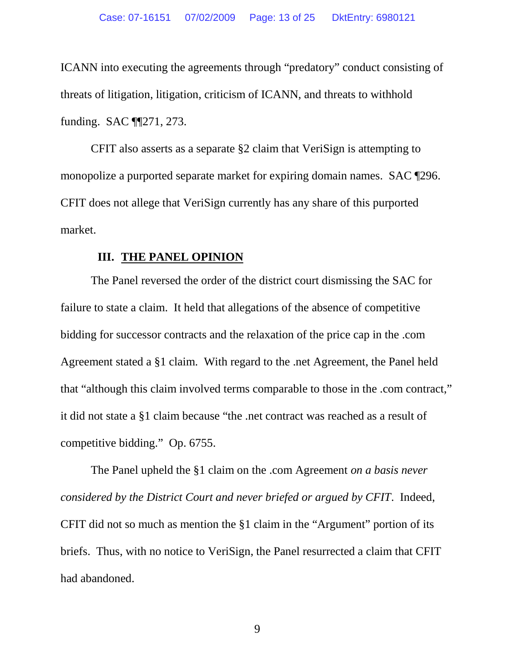ICANN into executing the agreements through "predatory" conduct consisting of threats of litigation, litigation, criticism of ICANN, and threats to withhold funding. SAC ¶¶271, 273.

CFIT also asserts as a separate §2 claim that VeriSign is attempting to monopolize a purported separate market for expiring domain names. SAC ¶296. CFIT does not allege that VeriSign currently has any share of this purported market.

#### <span id="page-12-0"></span>**III. THE PANEL OPINION**

The Panel reversed the order of the district court dismissing the SAC for failure to state a claim. It held that allegations of the absence of competitive bidding for successor contracts and the relaxation of the price cap in the .com Agreement stated a §1 claim. With regard to the .net Agreement, the Panel held that "although this claim involved terms comparable to those in the .com contract," it did not state a §1 claim because "the .net contract was reached as a result of competitive bidding." Op. 6755.

The Panel upheld the §1 claim on the .com Agreement *on a basis never considered by the District Court and never briefed or argued by CFIT*. Indeed, CFIT did not so much as mention the §1 claim in the "Argument" portion of its briefs. Thus, with no notice to VeriSign, the Panel resurrected a claim that CFIT had abandoned.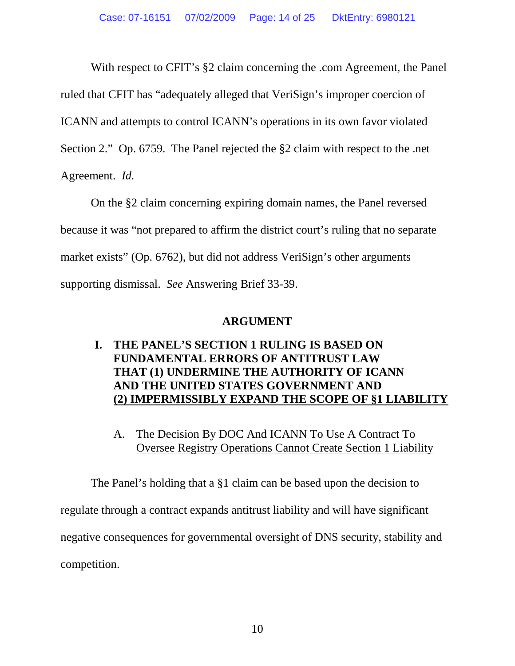With respect to CFIT's  $\S 2$  claim concerning the .com Agreement, the Panel ruled that CFIT has "adequately alleged that VeriSign's improper coercion of ICANN and attempts to control ICANN's operations in its own favor violated Section 2." Op. 6759. The Panel rejected the §2 claim with respect to the .net Agreement. *Id.*

On the §2 claim concerning expiring domain names, the Panel reversed because it was "not prepared to affirm the district court's ruling that no separate market exists" (Op. 6762), but did not address VeriSign's other arguments supporting dismissal. *See* Answering Brief 33-39.

## <span id="page-13-0"></span>**ARGUMENT**

# <span id="page-13-1"></span>**I. THE PANEL'S SECTION 1 RULING IS BASED ON FUNDAMENTAL ERRORS OF ANTITRUST LAW THAT (1) UNDERMINE THE AUTHORITY OF ICANN AND THE UNITED STATES GOVERNMENT AND (2) IMPERMISSIBLY EXPAND THE SCOPE OF §1 LIABILITY**

# <span id="page-13-2"></span>A. The Decision By DOC And ICANN To Use A Contract To Oversee Registry Operations Cannot Create Section 1 Liability

The Panel's holding that a §1 claim can be based upon the decision to regulate through a contract expands antitrust liability and will have significant negative consequences for governmental oversight of DNS security, stability and competition.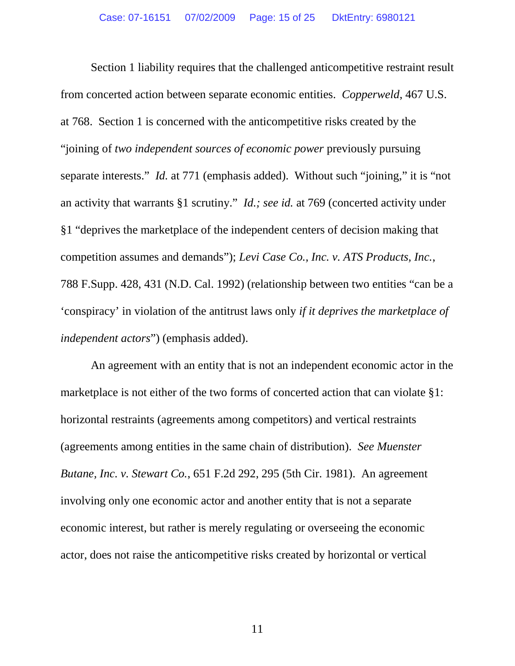<span id="page-14-0"></span>Section 1 liability requires that the challenged anticompetitive restraint result from concerted action between separate economic entities. *Copperweld*, 467 U.S. at 768. Section 1 is concerned with the anticompetitive risks created by the "joining of *two independent sources of economic power* previously pursuing separate interests." *Id.* at 771 (emphasis added). Without such "joining," it is "not an activity that warrants §1 scrutiny." *Id.; see id.* at 769 (concerted activity under §1 "deprives the marketplace of the independent centers of decision making that competition assumes and demands"); *Levi Case Co., Inc. v. ATS Products, Inc.*, 788 F.Supp. 428, 431 (N.D. Cal. 1992) (relationship between two entities "can be a 'conspiracy' in violation of the antitrust laws only *if it deprives the marketplace of independent actors*") (emphasis added).

<span id="page-14-2"></span><span id="page-14-1"></span>An agreement with an entity that is not an independent economic actor in the marketplace is not either of the two forms of concerted action that can violate §1: horizontal restraints (agreements among competitors) and vertical restraints (agreements among entities in the same chain of distribution). *See Muenster Butane, Inc. v. Stewart Co.*, 651 F.2d 292, 295 (5th Cir. 1981). An agreement involving only one economic actor and another entity that is not a separate economic interest, but rather is merely regulating or overseeing the economic actor, does not raise the anticompetitive risks created by horizontal or vertical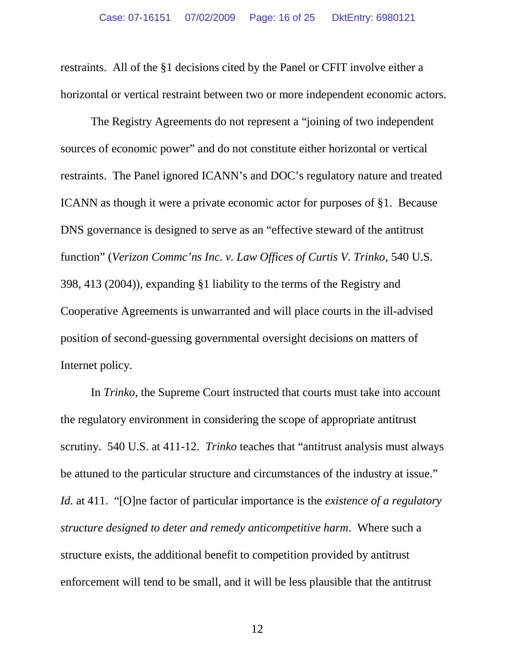restraints. All of the §1 decisions cited by the Panel or CFIT involve either a horizontal or vertical restraint between two or more independent economic actors.

<span id="page-15-0"></span>The Registry Agreements do not represent a "joining of two independent sources of economic power" and do not constitute either horizontal or vertical restraints. The Panel ignored ICANN's and DOC's regulatory nature and treated ICANN as though it were a private economic actor for purposes of §1. Because DNS governance is designed to serve as an "effective steward of the antitrust function" (*Verizon Commc'ns Inc. v. Law Offices of Curtis V. Trinko*, 540 U.S. 398, 413 (2004)), expanding §1 liability to the terms of the Registry and Cooperative Agreements is unwarranted and will place courts in the ill-advised position of second-guessing governmental oversight decisions on matters of Internet policy.

In *Trinko*, the Supreme Court instructed that courts must take into account the regulatory environment in considering the scope of appropriate antitrust scrutiny. 540 U.S. at 411-12. *Trinko* teaches that "antitrust analysis must always be attuned to the particular structure and circumstances of the industry at issue." *Id.* at 411. "[O]ne factor of particular importance is the *existence of a regulatory structure designed to deter and remedy anticompetitive harm*. Where such a structure exists, the additional benefit to competition provided by antitrust enforcement will tend to be small, and it will be less plausible that the antitrust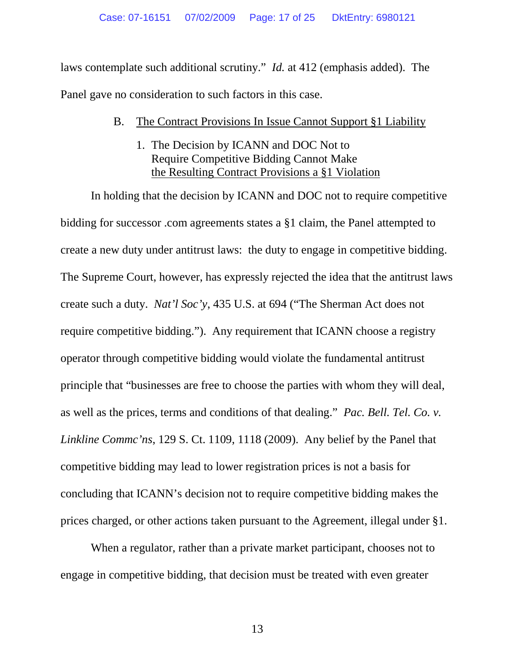laws contemplate such additional scrutiny." *Id.* at 412 (emphasis added). The Panel gave no consideration to such factors in this case.

## <span id="page-16-0"></span>B. The Contract Provisions In Issue Cannot Support §1 Liability

<span id="page-16-1"></span>1. The Decision by ICANN and DOC Not to Require Competitive Bidding Cannot Make the Resulting Contract Provisions a §1 Violation

<span id="page-16-2"></span>In holding that the decision by ICANN and DOC not to require competitive bidding for successor .com agreements states a §1 claim, the Panel attempted to create a new duty under antitrust laws: the duty to engage in competitive bidding. The Supreme Court, however, has expressly rejected the idea that the antitrust laws create such a duty. *Nat'l Soc'y*, 435 U.S. at 694 ("The Sherman Act does not require competitive bidding."). Any requirement that ICANN choose a registry operator through competitive bidding would violate the fundamental antitrust principle that "businesses are free to choose the parties with whom they will deal, as well as the prices, terms and conditions of that dealing." *Pac. Bell. Tel. Co. v. Linkline Commc'ns*, 129 S. Ct. 1109, 1118 (2009). Any belief by the Panel that competitive bidding may lead to lower registration prices is not a basis for concluding that ICANN's decision not to require competitive bidding makes the prices charged, or other actions taken pursuant to the Agreement, illegal under §1.

<span id="page-16-3"></span>When a regulator, rather than a private market participant, chooses not to engage in competitive bidding, that decision must be treated with even greater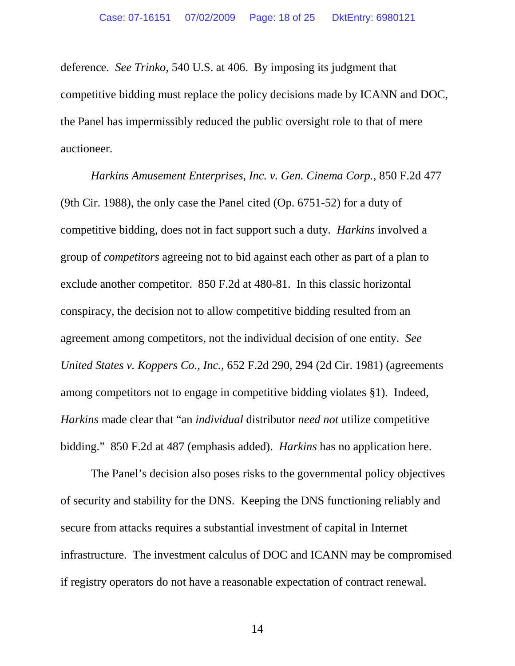deference. *See Trinko*, 540 U.S. at 406. By imposing its judgment that competitive bidding must replace the policy decisions made by ICANN and DOC, the Panel has impermissibly reduced the public oversight role to that of mere auctioneer.

<span id="page-17-0"></span>*Harkins Amusement Enterprises, Inc. v. Gen. Cinema Corp.*, 850 F.2d 477 (9th Cir. 1988), the only case the Panel cited (Op. 6751-52) for a duty of competitive bidding, does not in fact support such a duty. *Harkins* involved a group of *competitors* agreeing not to bid against each other as part of a plan to exclude another competitor. 850 F.2d at 480-81. In this classic horizontal conspiracy, the decision not to allow competitive bidding resulted from an agreement among competitors, not the individual decision of one entity. *See United States v. Koppers Co., Inc.*, 652 F.2d 290, 294 (2d Cir. 1981) (agreements among competitors not to engage in competitive bidding violates §1). Indeed, *Harkins* made clear that "an *individual* distributor *need not* utilize competitive bidding." 850 F.2d at 487 (emphasis added). *Harkins* has no application here.

<span id="page-17-1"></span>The Panel's decision also poses risks to the governmental policy objectives of security and stability for the DNS. Keeping the DNS functioning reliably and secure from attacks requires a substantial investment of capital in Internet infrastructure. The investment calculus of DOC and ICANN may be compromised if registry operators do not have a reasonable expectation of contract renewal.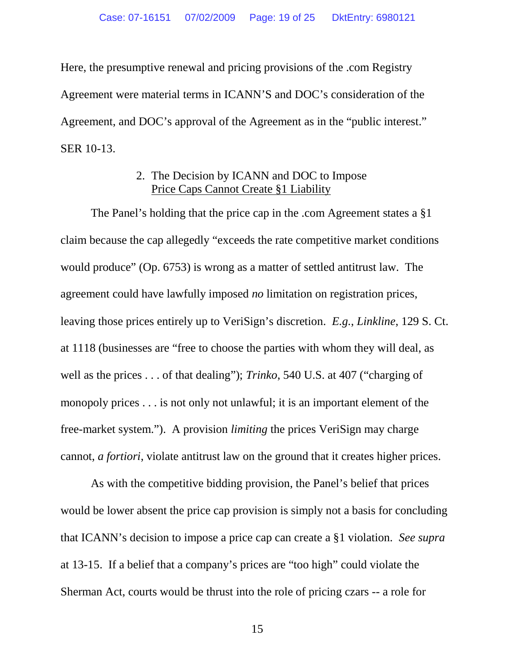Here, the presumptive renewal and pricing provisions of the .com Registry Agreement were material terms in ICANN'S and DOC's consideration of the Agreement, and DOC's approval of the Agreement as in the "public interest." SER 10-13.

# <span id="page-18-1"></span><span id="page-18-0"></span>2. The Decision by ICANN and DOC to Impose Price Caps Cannot Create §1 Liability

The Panel's holding that the price cap in the .com Agreement states a §1 claim because the cap allegedly "exceeds the rate competitive market conditions would produce" (Op. 6753) is wrong as a matter of settled antitrust law. The agreement could have lawfully imposed *no* limitation on registration prices, leaving those prices entirely up to VeriSign's discretion. *E.g.*, *Linkline*, 129 S. Ct. at 1118 (businesses are "free to choose the parties with whom they will deal, as well as the prices . . . of that dealing"); *Trinko*, 540 U.S. at 407 ("charging of monopoly prices . . . is not only not unlawful; it is an important element of the free-market system."). A provision *limiting* the prices VeriSign may charge cannot, *a fortiori*, violate antitrust law on the ground that it creates higher prices.

As with the competitive bidding provision, the Panel's belief that prices would be lower absent the price cap provision is simply not a basis for concluding that ICANN's decision to impose a price cap can create a §1 violation. *See supra* at 13-15. If a belief that a company's prices are "too high" could violate the Sherman Act, courts would be thrust into the role of pricing czars -- a role for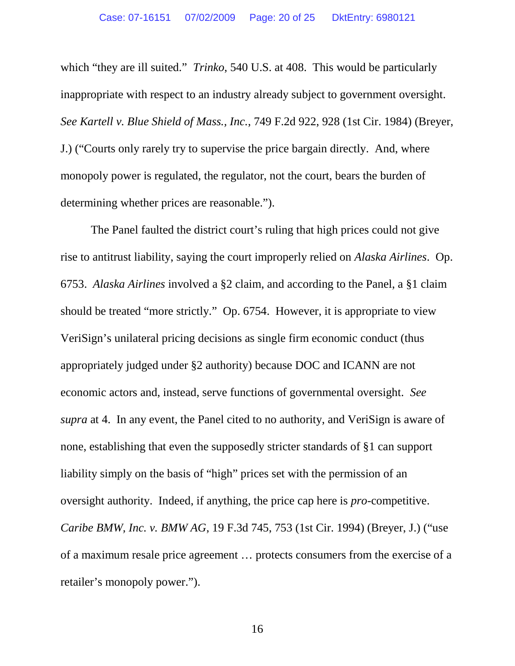<span id="page-19-2"></span>which "they are ill suited." *Trinko*, 540 U.S. at 408. This would be particularly inappropriate with respect to an industry already subject to government oversight. *See Kartell v. Blue Shield of Mass., Inc.*, 749 F.2d 922, 928 (1st Cir. 1984) (Breyer, J.) ("Courts only rarely try to supervise the price bargain directly. And, where monopoly power is regulated, the regulator, not the court, bears the burden of determining whether prices are reasonable.").

<span id="page-19-1"></span><span id="page-19-0"></span>The Panel faulted the district court's ruling that high prices could not give rise to antitrust liability, saying the court improperly relied on *Alaska Airlines*. Op. 6753. *Alaska Airlines* involved a §2 claim, and according to the Panel, a §1 claim should be treated "more strictly." Op. 6754. However, it is appropriate to view VeriSign's unilateral pricing decisions as single firm economic conduct (thus appropriately judged under §2 authority) because DOC and ICANN are not economic actors and, instead, serve functions of governmental oversight. *See supra* at 4. In any event, the Panel cited to no authority, and VeriSign is aware of none, establishing that even the supposedly stricter standards of §1 can support liability simply on the basis of "high" prices set with the permission of an oversight authority. Indeed, if anything, the price cap here is *pro*-competitive. *Caribe BMW, Inc. v. BMW AG*, 19 F.3d 745, 753 (1st Cir. 1994) (Breyer, J.) ("use of a maximum resale price agreement … protects consumers from the exercise of a retailer's monopoly power.").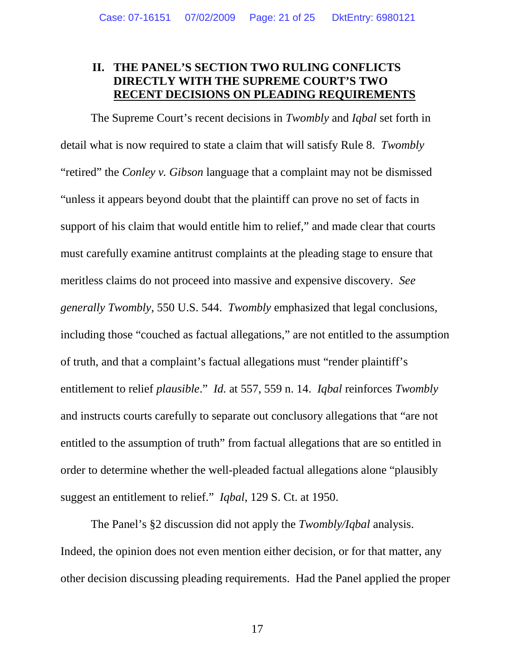# <span id="page-20-0"></span>**II. THE PANEL'S SECTION TWO RULING CONFLICTS DIRECTLY WITH THE SUPREME COURT'S TWO RECENT DECISIONS ON PLEADING REQUIREMENTS**

The Supreme Court's recent decisions in *Twombly* and *Iqbal* set forth in detail what is now required to state a claim that will satisfy Rule 8. *Twombly* "retired" the *Conley v. Gibson* language that a complaint may not be dismissed "unless it appears beyond doubt that the plaintiff can prove no set of facts in support of his claim that would entitle him to relief," and made clear that courts must carefully examine antitrust complaints at the pleading stage to ensure that meritless claims do not proceed into massive and expensive discovery. *See generally Twombly*, 550 U.S. 544. *Twombly* emphasized that legal conclusions, including those "couched as factual allegations," are not entitled to the assumption of truth, and that a complaint's factual allegations must "render plaintiff's entitlement to relief *plausible*." *Id.* at 557, 559 n. 14. *Iqbal* reinforces *Twombly* and instructs courts carefully to separate out conclusory allegations that "are not entitled to the assumption of truth" from factual allegations that are so entitled in order to determine whether the well-pleaded factual allegations alone "plausibly suggest an entitlement to relief." *Iqbal*, 129 S. Ct. at 1950.

The Panel's §2 discussion did not apply the *Twombly/Iqbal* analysis. Indeed, the opinion does not even mention either decision, or for that matter, any other decision discussing pleading requirements. Had the Panel applied the proper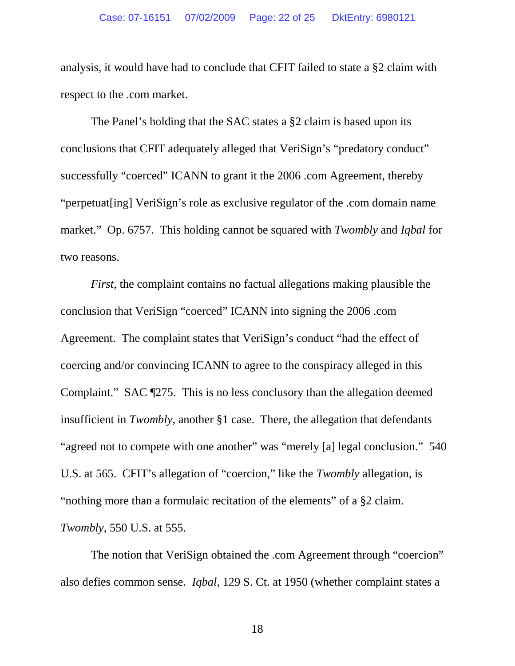analysis, it would have had to conclude that CFIT failed to state a §2 claim with respect to the .com market.

The Panel's holding that the SAC states a §2 claim is based upon its conclusions that CFIT adequately alleged that VeriSign's "predatory conduct" successfully "coerced" ICANN to grant it the 2006 .com Agreement, thereby "perpetuat[ing] VeriSign's role as exclusive regulator of the .com domain name market." Op. 6757. This holding cannot be squared with *Twombly* and *Iqbal* for two reasons.

*First*, the complaint contains no factual allegations making plausible the conclusion that VeriSign "coerced" ICANN into signing the 2006 .com Agreement. The complaint states that VeriSign's conduct "had the effect of coercing and/or convincing ICANN to agree to the conspiracy alleged in this Complaint." SAC ¶275. This is no less conclusory than the allegation deemed insufficient in *Twombly*, another §1 case. There, the allegation that defendants "agreed not to compete with one another" was "merely [a] legal conclusion." 540 U.S. at 565. CFIT's allegation of "coercion," like the *Twombly* allegation, is "nothing more than a formulaic recitation of the elements" of a §2 claim. *Twombly*, 550 U.S. at 555.

The notion that VeriSign obtained the .com Agreement through "coercion" also defies common sense. *Iqbal*, 129 S. Ct. at 1950 (whether complaint states a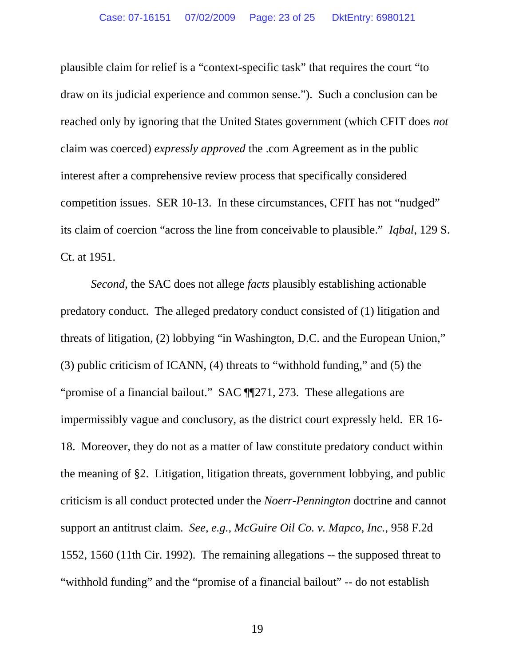plausible claim for relief is a "context-specific task" that requires the court "to draw on its judicial experience and common sense."). Such a conclusion can be reached only by ignoring that the United States government (which CFIT does *not* claim was coerced) *expressly approved* the .com Agreement as in the public interest after a comprehensive review process that specifically considered competition issues. SER 10-13. In these circumstances, CFIT has not "nudged" its claim of coercion "across the line from conceivable to plausible." *Iqbal*, 129 S. Ct. at 1951.

<span id="page-22-0"></span>*Second*, the SAC does not allege *facts* plausibly establishing actionable predatory conduct. The alleged predatory conduct consisted of (1) litigation and threats of litigation, (2) lobbying "in Washington, D.C. and the European Union," (3) public criticism of ICANN, (4) threats to "withhold funding," and (5) the "promise of a financial bailout." SAC ¶¶271, 273. These allegations are impermissibly vague and conclusory, as the district court expressly held. ER 16- 18. Moreover, they do not as a matter of law constitute predatory conduct within the meaning of §2. Litigation, litigation threats, government lobbying, and public criticism is all conduct protected under the *Noerr-Pennington* doctrine and cannot support an antitrust claim. *See, e.g., McGuire Oil Co. v. Mapco, Inc.*, 958 F.2d 1552, 1560 (11th Cir. 1992). The remaining allegations -- the supposed threat to "withhold funding" and the "promise of a financial bailout" -- do not establish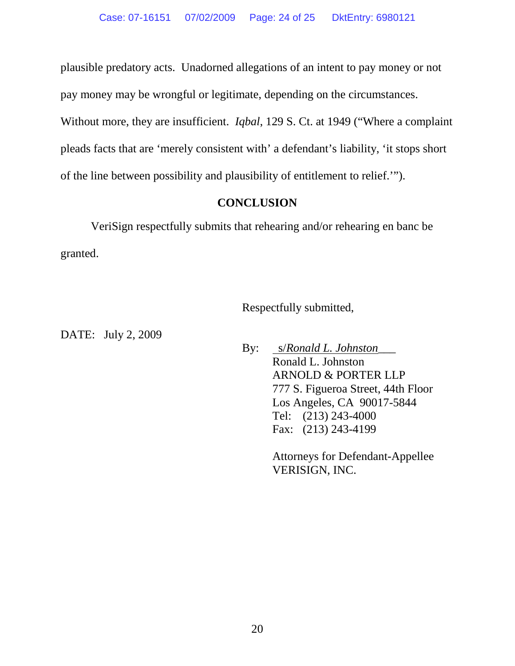plausible predatory acts. Unadorned allegations of an intent to pay money or not

pay money may be wrongful or legitimate, depending on the circumstances.

Without more, they are insufficient. *Iqbal*, 129 S. Ct. at 1949 ("Where a complaint pleads facts that are 'merely consistent with' a defendant's liability, 'it stops short of the line between possibility and plausibility of entitlement to relief.'").

# <span id="page-23-0"></span>**CONCLUSION**

VeriSign respectfully submits that rehearing and/or rehearing en banc be granted.

Respectfully submitted,

DATE: July 2, 2009

By: s/*Ronald L. Johnston*\_\_\_ Ronald L. Johnston ARNOLD & PORTER LLP 777 S. Figueroa Street, 44th Floor Los Angeles, CA 90017-5844 Tel: (213) 243-4000 Fax: (213) 243-4199

> Attorneys for Defendant-Appellee VERISIGN, INC.